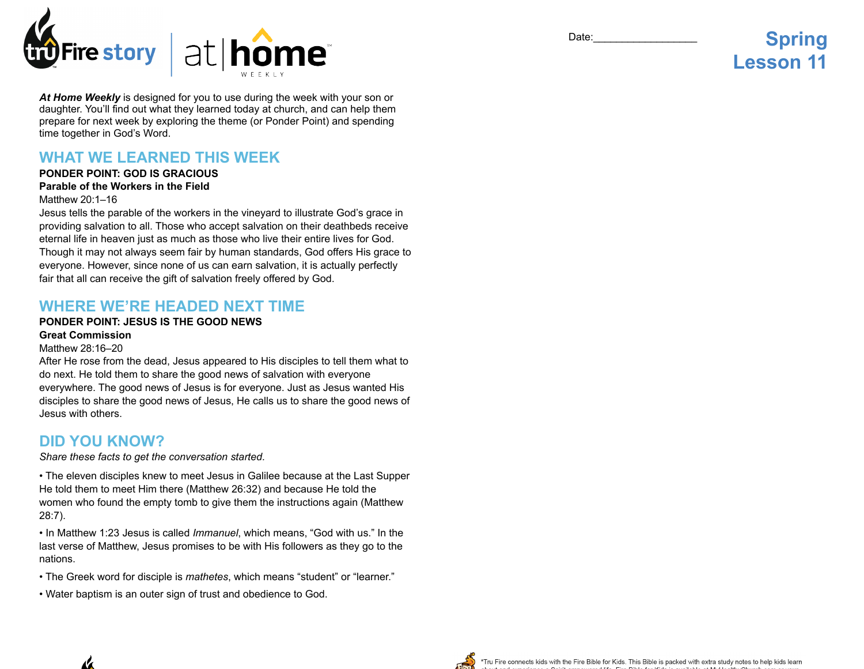

*At Home Weekly* is designed for you to use during the week with your son or daughter. You'll find out what they learned today at church, and can help them prepare for next week by exploring the theme (or Ponder Point) and spending time together in God's Word.

# **WHAT WE LEARNED THIS WEEK**

## **PONDER POINT: GOD IS GRACIOUS**

### **Parable of the Workers in the Field**

#### Matthew 20:1–16

Jesus tells the parable of the workers in the vineyard to illustrate God's grace in providing salvation to all. Those who accept salvation on their deathbeds receive eternal life in heaven just as much as those who live their entire lives for God. Though it may not always seem fair by human standards, God offers His grace to everyone. However, since none of us can earn salvation, it is actually perfectly fair that all can receive the gift of salvation freely offered by God.

## **WHERE WE'RE HEADED NEXT TIME**

### **PONDER POINT: JESUS IS THE GOOD NEWS**

## **Great Commission**

#### Matthew 28:16–20

After He rose from the dead, Jesus appeared to His disciples to tell them what to do next. He told them to share the good news of salvation with everyone everywhere. The good news of Jesus is for everyone. Just as Jesus wanted His disciples to share the good news of Jesus, He calls us to share the good news of Jesus with others.

## **DID YOU KNOW?**

#### *Share these facts to get the conversation started.*

• The eleven disciples knew to meet Jesus in Galilee because at the Last Supper He told them to meet Him there (Matthew 26:32) and because He told the women who found the empty tomb to give them the instructions again (Matthew 28:7).

• In Matthew 1:23 Jesus is called *Immanuel*, which means, "God with us." In the last verse of Matthew, Jesus promises to be with His followers as they go to the nations.

- The Greek word for disciple is *mathetes*, which means "student" or "learner."
- Water baptism is an outer sign of trust and obedience to God.



# **Spring Lesson 11**